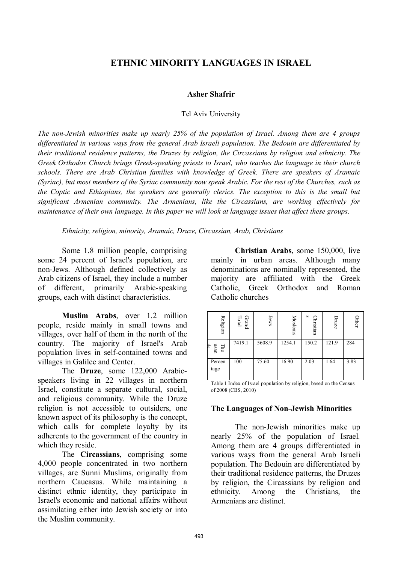# **ETHNIC MINORITY LANGUAGES IN ISRAEL**

#### **Asher Shafrir**

#### Tel Aviv University

*The non-Jewish minorities make up nearly 25% of the population of Israel. Among them are 4 groups differentiated in various ways from the general Arab Israeli population. The Bedouin are differentiated by their traditional residence patterns, the Druzes by religion, the Circassians by religion and ethnicity. The Greek Orthodox Church brings Greek-speaking priests to Israel, who teaches the language in their church schools. There are Arab Christian families with knowledge of Greek. There are speakers of Aramaic (Syriac), but most members of the Syriac community now speak Arabic. For the rest of the Churches, such as the Coptic and Ethiopians, the speakers are generally clerics. The exception to this is the small but significant Armenian community. The Armenians, like the Circassians, are working effectively for maintenance of their own language. In this paper we will look at language issues that affect these groups*.

*Ethnicity, religion, minority, Aramaic, Druze, Circassian, Arab, Christians*

Some 1.8 million people, comprising some 24 percent of Israel's population, are non-Jews. Although defined collectively as Arab citizens of Israel, they include a number of different, primarily Arabic-speaking groups, each with distinct characteristics.

**Muslim Arabs**, over 1.2 million people, reside mainly in small towns and villages, over half of them in the north of the country. The majority of Israel's Arab population lives in self-contained towns and villages in Galilee and Center.

The **Druze**, some 122,000 Arabicspeakers living in 22 villages in northern Israel, constitute a separate cultural, social, and religious community. While the Druze religion is not accessible to outsiders, one known aspect of its philosophy is the concept, which calls for complete loyalty by its adherents to the government of the country in which they reside.

The **Circassians**, comprising some 4,000 people concentrated in two northern villages, are Sunni Muslims, originally from northern Caucasus. While maintaining a distinct ethnic identity, they participate in Israel's economic and national affairs without assimilating either into Jewish society or into the Muslim community.

**Christian Arabs**, some 150,000, live mainly in urban areas. Although many denominations are nominally represented, the majority are affiliated with the Greek Catholic, Greek Orthodox and Roman Catholic churches

| Religion         | $\mbox{Total}$<br>Grand | Jews   | Moslems | S<br>hristian | Druze | Other |
|------------------|-------------------------|--------|---------|---------------|-------|-------|
| usan<br>£<br>Гho | 7419.1                  | 5608.9 | 1254.1  | 150.2         | 121.9 | 284   |
| Percen<br>tage   | 100                     | 75.60  | 16.90   | 2.03          | 1.64  | 3.83  |

Table 1 Index of Israel population by religion, based on the Census of 2008 (CBS, 2010)

#### **The Languages of Non-Jewish Minorities**

The non-Jewish minorities make up nearly 25% of the population of Israel. Among them are 4 groups differentiated in various ways from the general Arab Israeli population. The Bedouin are differentiated by their traditional residence patterns, the Druzes by religion, the Circassians by religion and ethnicity. Among the Christians, the Armenians are distinct.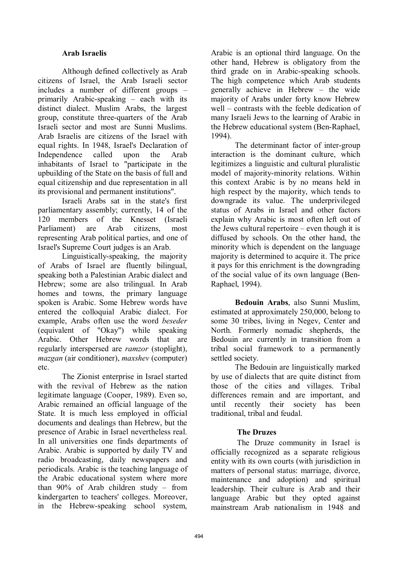# **Arab Israelis**

Although defined collectively as Arab citizens of Israel, the Arab Israeli sector includes a number of different groups – primarily Arabic-speaking – each with its distinct dialect. Muslim Arabs, the largest group, constitute three-quarters of the Arab Israeli sector and most are Sunni Muslims. Arab Israelis are citizens of the Israel with equal rights. In 1948, Israel's Declaration of Independence called upon the Arab inhabitants of Israel to "participate in the upbuilding of the State on the basis of full and equal citizenship and due representation in all its provisional and permanent institutions".

Israeli Arabs sat in the state's first parliamentary assembly; currently, 14 of the 120 members of the Knesset (Israeli Parliament) are Arab citizens most representing Arab political parties, and one of Israel's Supreme Court judges is an Arab.

Linguistically-speaking, the majority of Arabs of Israel are fluently bilingual, speaking both a Palestinian Arabic dialect and Hebrew; some are also trilingual. In Arab homes and towns, the primary language spoken is Arabic. Some Hebrew words have entered the colloquial Arabic dialect. For example, Arabs often use the word *beseder* (equivalent of "Okay") while speaking Arabic. Other Hebrew words that are regularly interspersed are *ramzor* (stoplight), *mazgan* (air conditioner), *maxshev* (computer) etc.

The Zionist enterprise in Israel started with the revival of Hebrew as the nation legitimate language (Cooper, 1989). Even so, Arabic remained an official language of the State. It is much less employed in official documents and dealings than Hebrew, but the presence of Arabic in Israel nevertheless real. In all universities one finds departments of Arabic. Arabic is supported by daily TV and radio broadcasting, daily newspapers and periodicals. Arabic is the teaching language of the Arabic educational system where more than 90% of Arab children study – from kindergarten to teachers' colleges. Moreover, in the Hebrew-speaking school system,

Arabic is an optional third language. On the other hand, Hebrew is obligatory from the third grade on in Arabic-speaking schools. The high competence which Arab students generally achieve in Hebrew – the wide majority of Arabs under forty know Hebrew well – contrasts with the feeble dedication of many Israeli Jews to the learning of Arabic in the Hebrew educational system (Ben-Raphael, 1994).

The determinant factor of inter-group interaction is the dominant culture, which legitimizes a linguistic and cultural pluralistic model of majority-minority relations. Within this context Arabic is by no means held in high respect by the majority, which tends to downgrade its value. The underprivileged status of Arabs in Israel and other factors explain why Arabic is most often left out of the Jews cultural repertoire – even though it is diffused by schools. On the other hand, the minority which is dependent on the language majority is determined to acquire it. The price it pays for this enrichment is the downgrading of the social value of its own language (Ben-Raphael, 1994).

**Bedouin Arabs**, also Sunni Muslim, estimated at approximately 250,000, belong to some 30 tribes, living in Negev, Center and North. Formerly nomadic shepherds, the Bedouin are currently in transition from a tribal social framework to a permanently settled society.

The Bedouin are linguistically marked by use of dialects that are quite distinct from those of the cities and villages. Tribal differences remain and are important, and until recently their society has been traditional, tribal and feudal.

## **The Druzes**

The Druze community in Israel is officially recognized as a separate religious entity with its own courts (with jurisdiction in matters of personal status: marriage, divorce, maintenance and adoption) and spiritual leadership. Their culture is Arab and their language Arabic but they opted against mainstream Arab nationalism in 1948 and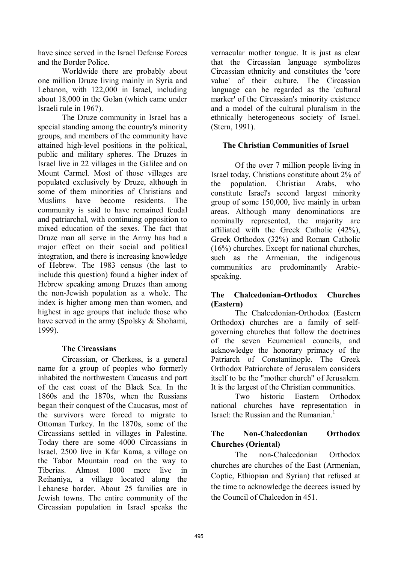have since served in the Israel Defense Forces and the Border Police.

Worldwide there are probably about one million Druze living mainly in Syria and Lebanon, with 122,000 in Israel, including about 18,000 in the Golan (which came under Israeli rule in 1967).

The Druze community in Israel has a special standing among the country's minority groups, and members of the community have attained high-level positions in the political, public and military spheres. The Druzes in Israel live in 22 villages in the Galilee and on Mount Carmel. Most of those villages are populated exclusively by Druze, although in some of them minorities of Christians and Muslims have become residents. The community is said to have remained feudal and patriarchal, with continuing opposition to mixed education of the sexes. The fact that Druze man all serve in the Army has had a major effect on their social and political integration, and there is increasing knowledge of Hebrew. The 1983 census (the last to include this question) found a higher index of Hebrew speaking among Druzes than among the non-Jewish population as a whole. The index is higher among men than women, and highest in age groups that include those who have served in the army (Spolsky & Shohami, 1999).

## **The Circassians**

Circassian, or Cherkess, is a general name for a group of peoples who formerly inhabited the northwestern Caucasus and part of the east coast of the Black Sea. In the 1860s and the 1870s, when the Russians began their conquest of the Caucasus, most of the survivors were forced to migrate to Ottoman Turkey. In the 1870s, some of the Circassians settled in villages in Palestine. Today there are some 4000 Circassians in Israel. 2500 live in Kfar Kama, a village on the Tabor Mountain road on the way to Tiberias. Almost 1000 more live in Reihaniya, a village located along the Lebanese border. About 25 families are in Jewish towns. The entire community of the Circassian population in Israel speaks the

vernacular mother tongue. It is just as clear that the Circassian language symbolizes Circassian ethnicity and constitutes the 'core value' of their culture. The Circassian language can be regarded as the 'cultural marker' of the Circassian's minority existence and a model of the cultural pluralism in the ethnically heterogeneous society of Israel. (Stern, 1991).

# **The Christian Communities of Israel**

Of the over 7 million people living in Israel today, Christians constitute about 2% of the population. Christian Arabs, who constitute Israel's second largest minority group of some 150,000, live mainly in urban areas. Although many denominations are nominally represented, the majority are affiliated with the Greek Catholic (42%), Greek Orthodox (32%) and Roman Catholic (16%) churches. Except for national churches, such as the Armenian, the indigenous communities are predominantly Arabicspeaking.

## **The Chalcedonian-Orthodox Churches (Eastern)**

The Chalcedonian-Orthodox (Eastern Orthodox) churches are a family of selfgoverning churches that follow the doctrines of the seven Ecumenical councils, and acknowledge the honorary primacy of the Patriarch of Constantinople. The Greek Orthodox Patriarchate of Jerusalem considers itself to be the "mother church" of Jerusalem. It is the largest of the Christian communities.

Two historic Eastern Orthodox national churches have representation in Israel: the Russian and the Rumanian.<sup>1</sup>

# **The Non-Chalcedonian Orthodox Churches (Oriental)**

The non-Chalcedonian Orthodox churches are churches of the East (Armenian, Coptic, Ethiopian and Syrian) that refused at the time to acknowledge the decrees issued by the Council of Chalcedon in 451.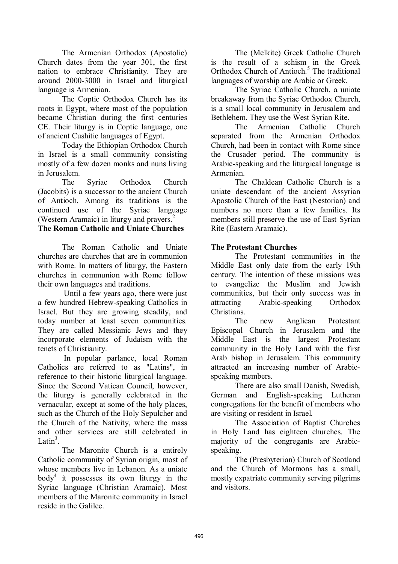The Armenian Orthodox (Apostolic) Church dates from the year 301, the first nation to embrace Christianity. They are around 2000-3000 in Israel and liturgical language is Armenian.

The Coptic Orthodox Church has its roots in Egypt, where most of the population became Christian during the first centuries CE. Their liturgy is in Coptic language, one of ancient Cushitic languages of Egypt.

Today the Ethiopian Orthodox Church in Israel is a small community consisting mostly of a few dozen monks and nuns living in Jerusalem.

The Syriac Orthodox Church (Jacobits) is a successor to the ancient Church of Antioch. Among its traditions is the continued use of the Syriac language (Western Aramaic) in liturgy and prayers.<sup>2</sup>

# **The Roman Catholic and Uniate Churches**

The Roman Catholic and Uniate churches are churches that are in communion with Rome. In matters of liturgy, the Eastern churches in communion with Rome follow their own languages and traditions.

Until a few years ago, there were just a few hundred Hebrew-speaking Catholics in Israel. But they are growing steadily, and today number at least seven communities. They are called Messianic Jews and they incorporate elements of Judaism with the tenets of Christianity.

In popular parlance, local Roman Catholics are referred to as "Latins", in reference to their historic liturgical language. Since the Second Vatican Council, however, the liturgy is generally celebrated in the vernacular, except at some of the holy places, such as the Church of the Holy Sepulcher and the Church of the Nativity, where the mass and other services are still celebrated in Latin<sup>3</sup>.

The Maronite Church is a entirely Catholic community of Syrian origin, most of whose members live in Lebanon. As a uniate body<sup>4</sup> it possesses its own liturgy in the Syriac language (Christian Aramaic). Most members of the Maronite community in Israel reside in the Galilee.

The (Melkite) Greek Catholic Church is the result of a schism in the Greek Orthodox Church of Antioch.<sup>5</sup> The traditional languages of worship are Arabic or Greek.

The Syriac Catholic Church, a uniate breakaway from the Syriac Orthodox Church, is a small local community in Jerusalem and Bethlehem. They use the West Syrian Rite.

The Armenian Catholic Church separated from the Armenian Orthodox Church, had been in contact with Rome since the Crusader period. The community is Arabic-speaking and the liturgical language is Armenian.

The Chaldean Catholic Church is a uniate descendant of the ancient Assyrian Apostolic Church of the East (Nestorian) and numbers no more than a few families. Its members still preserve the use of East Syrian Rite (Eastern Aramaic).

## **The Protestant Churches**

The Protestant communities in the Middle East only date from the early 19th century. The intention of these missions was to evangelize the Muslim and Jewish communities, but their only success was in attracting Arabic-speaking Orthodox Christians.

The new Anglican Protestant Episcopal Church in Jerusalem and the Middle East is the largest Protestant community in the Holy Land with the first Arab bishop in Jerusalem. This community attracted an increasing number of Arabicspeaking members.

There are also small Danish, Swedish, German and English-speaking Lutheran congregations for the benefit of members who are visiting or resident in Israel.

The Association of Baptist Churches in Holy Land has eighteen churches. The majority of the congregants are Arabicspeaking.

The (Presbyterian) Church of Scotland and the Church of Mormons has a small, mostly expatriate community serving pilgrims and visitors.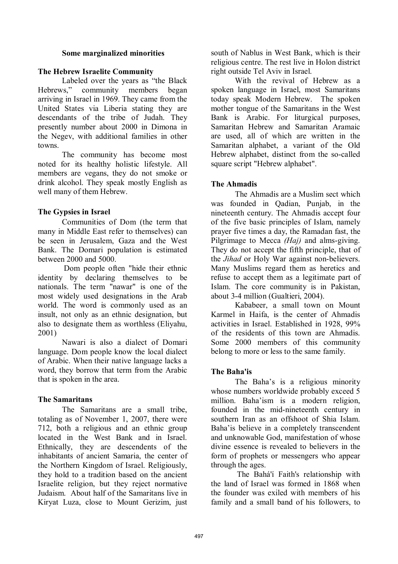#### **Some marginalized minorities**

#### **The Hebrew Israelite Community**

Labeled over the years as "the Black Hebrews," community members began arriving in Israel in 1969. They came from the United States via Liberia stating they are descendants of the tribe of Judah. They presently number about 2000 in Dimona in the Negev, with additional families in other towns.

The community has become most noted for its healthy holistic lifestyle. All members are vegans, they do not smoke or drink alcohol. They speak mostly English as well many of them Hebrew.

## **The Gypsies in Israel**

Communities of Dom (the term that many in Middle East refer to themselves) can be seen in Jerusalem, Gaza and the West Bank. The Domari population is estimated between 2000 and 5000.

Dom people often "hide their ethnic identity by declaring themselves to be nationals. The term "nawar" is one of the most widely used designations in the Arab world. The word is commonly used as an insult, not only as an ethnic designation, but also to designate them as worthless (Eliyahu, 2001)

Nawari is also a dialect of Domari language. Dom people know the local dialect of Arabic. When their native language lacks a word, they borrow that term from the Arabic that is spoken in the area.

## **The Samaritans**

The Samaritans are a small tribe, totaling as of November 1, 2007, there were 712, both a religious and an ethnic group located in the West Bank and in Israel. Ethnically, they are descendents of the inhabitants of ancient Samaria, the center of the Northern Kingdom of Israel. Religiously, they hold to a tradition based on the ancient Israelite religion, but they reject normative Judaism. About half of the Samaritans live in Kiryat Luza, close to Mount Gerizim, just

south of Nablus in West Bank, which is their religious centre. The rest live in Holon district right outside Tel Aviv in Israel.

With the revival of Hebrew as a spoken language in Israel, most Samaritans today speak Modern Hebrew. The spoken mother tongue of the Samaritans in the West Bank is Arabic. For liturgical purposes, Samaritan Hebrew and Samaritan Aramaic are used, all of which are written in the Samaritan alphabet, a variant of the Old Hebrew alphabet, distinct from the so-called square script "Hebrew alphabet".

## **The Ahmadis**

The Ahmadis are a Muslim sect which was founded in Qadian, Punjab, in the nineteenth century. The Ahmadis accept four of the five basic principles of Islam, namely prayer five times a day, the Ramadan fast, the Pilgrimage to Mecca *(Haj)* and alms-giving. They do not accept the fifth principle, that of the *Jihad* or Holy War against non-believers. Many Muslims regard them as heretics and refuse to accept them as a legitimate part of Islam. The core community is in Pakistan, about 3-4 million (Gualtieri, 2004).

Kababeer, a small town on Mount Karmel in Haifa, is the center of Ahmadis activities in Israel. Established in 1928, 99% of the residents of this town are Ahmadis. Some 2000 members of this community belong to more or less to the same family.

## **The Baha'is**

The Baha's is a religious minority whose numbers worldwide probably exceed 5 million. Baha'ism is a modern religion, founded in the mid-nineteenth century in southern Iran as an offshoot of Shia Islam. Baha'is believe in a completely transcendent and unknowable God, manifestation of whose divine essence is revealed to believers in the form of prophets or messengers who appear through the ages.

The Bahá'í Faith's relationship with the land of Israel was formed in 1868 when the founder was exiled with members of his family and a small band of his followers, to